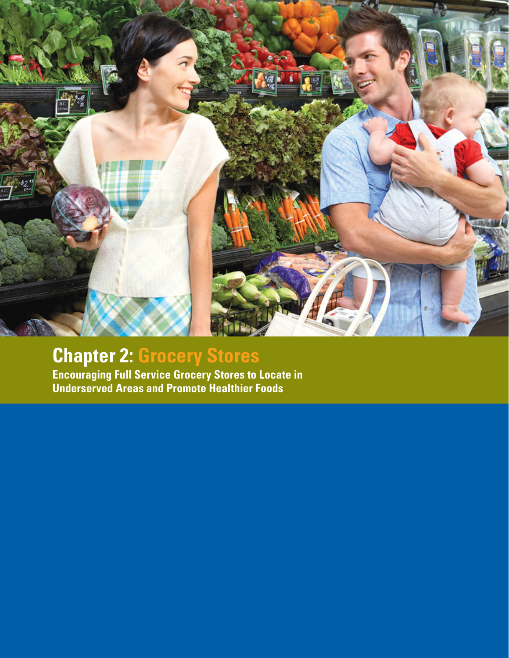

# **Chapter 2: Grocery Stores**

**Encouraging Full Service Grocery Stores to Locate in Underserved Areas and Promote Healthier Foods**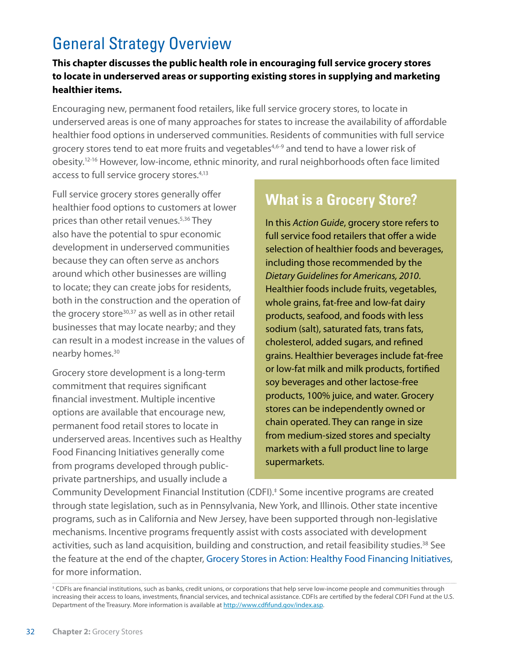# General Strategy Overview

#### **This chapter discusses the public health role in encouraging full service grocery stores to locate in underserved areas or supporting existing stores in supplying and marketing healthier items.**

Encouraging new, permanent food retailers, like full service grocery stores, to locate in underserved areas is one of many approaches for states to increase the availability of affordable healthier food options in underserved communities. Residents of communities with full service grocery stores tend to eat more fruits and vegetables<sup>4,6-9</sup> and tend to have a lower risk of obesity.12-16 However, low-income, ethnic minority, and rural neighborhoods often face limited access to full service grocery stores.<sup>4,13</sup>

Full service grocery stores generally offer healthier food options to customers at lower prices than other retail venues.<sup>5,36</sup> They also have the potential to spur economic development in underserved communities because they can often serve as anchors around which other businesses are willing to locate; they can create jobs for residents, both in the construction and the operation of the grocery store<sup>30,37</sup> as well as in other retail businesses that may locate nearby; and they can result in a modest increase in the values of nearby homes.<sup>30</sup>

Grocery store development is a long-term commitment that requires significant financial investment. Multiple incentive options are available that encourage new, permanent food retail stores to locate in underserved areas. Incentives such as Healthy Food Financing Initiatives generally come from programs developed through publicprivate partnerships, and usually include a

### **What is a Grocery Store?**

full service food retailers that offer a wide In this *Action Guide*, grocery store refers to including those recommended by the selection of healthier foods and beverages, *Dietary Guidelines for Americans, 2010*. Healthier foods include fruits, vegetables, *Dietary Guidelines for Americans, 2010*. whole grains, fat-free and low-fat dairy products, seafood, and foods with less products, seafood, and foods with less sodium (salt), saturated fats, trans fats, sodium (salt), saturated fats, trans fats, cholesterol, added sugars, and refined cholesterol, added sugars, and refined grains. Healthier beverages include fat-free grains. Healthier beverages include fat-free or low-fat milk and milk products, fortified or low-fat milk and milk products, fortified soy beverages and other lactose-free products, 100% juice, and water. Grocery chain operated. They can range in size stores can be independently owned or chain operated. They can range in size from medium-sized stores and specialty In this *Action Guide*, grocery store refers to selection of healthier foods and beverages, markets with a full product line to large supermarkets.

Community Development Financial Institution (CDFI).‡ Some incentive programs are created through state legislation, such as in Pennsylvania, New York, and Illinois. Other state incentive programs, such as in California and New Jersey, have been supported through non-legislative mechanisms. Incentive programs frequently assist with costs associated with development activities, such as land acquisition, building and construction, and retail feasibility studies.<sup>38</sup> See the feature at the end of the chapter, Grocery Stores in Action: Healthy Food Financing Initiatives, for more information.

<sup>‡</sup> CDFIs are financial institutions, such as banks, credit unions, or corporations that help serve low-income people and communities through increasing their access to loans, investments, financial services, and technical assistance. CDFIs are certified by the federal CDFI Fund at the U.S. Department of the Treasury. More information is available at [http://www.cdfifund.gov/index.asp.](http://www.cdfifund.gov/index.asp)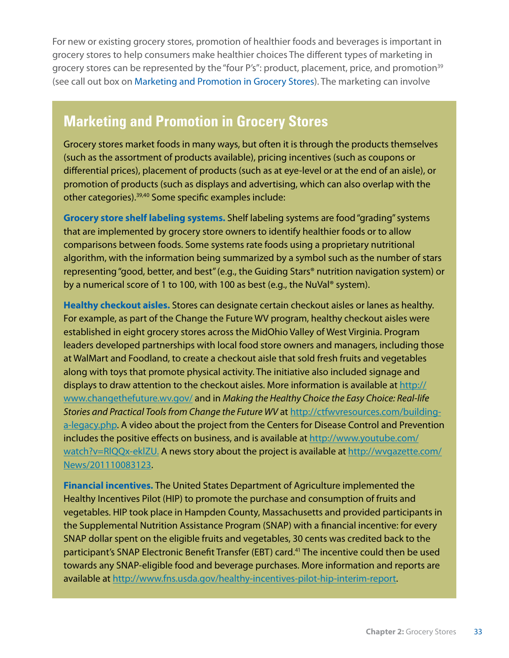For new or existing grocery stores, promotion of healthier foods and beverages is important in grocery stores to help consumers make healthier choices The different types of marketing in grocery stores can be represented by the "four P's": product, placement, price, and promotion<sup>39</sup> (see call out box on Marketing and Promotion in Grocery Stores). The marketing can involve

### **Marketing and Promotion in Grocery Stores**

Grocery stores market foods in many ways, but often it is through the products themselves (such as the assortment of products available), pricing incentives (such as coupons or **Stores**  promotion of products (such as displays and advertising, which can also overlap with the differential prices), placement of products (such as at eye-level or at the end of an aisle), or other categories).39,40 Some specific examples include:

**Grocery store shelf labeling systems.** Shelf labeling systems are food "grading" systems that are implemented by grocery store owners to identify healthier foods or to allow comparisons between foods. Some systems rate foods using a proprietary nutritional algorithm, with the information being summarized by a symbol such as the number of stars representing "good, better, and best" (e.g., the Guiding Stars® nutrition navigation system) or by a numerical score of 1 to 100, with 100 as best (e.g., the NuVal® system).

**Healthy checkout aisles.** Stores can designate certain checkout aisles or lanes as healthy. For example, as part of the Change the Future WV program, healthy checkout aisles were established in eight grocery stores across the MidOhio Valley of West Virginia. Program leaders developed partnerships with local food store owners and managers, including those at WalMart and Foodland, to create a checkout aisle that sold fresh fruits and vegetables along with toys that promote physical activity. The initiative also included signage and displays to draw attention to the checkout aisles. More information is available at [http://](http://www.changethefuture.wv.gov) [www.changethefuture.wv.gov/](http://www.changethefuture.wv.gov) and in *Making the Healthy Choice the Easy Choice: Real-life Stories and Practical Tools from Change the Future WV* at [http://ctfwvresources.com/building](http://ctfwvresources.com/building-a-legacy.php)[a-legacy.php.](http://ctfwvresources.com/building-a-legacy.php) A video about the project from the Centers for Disease Control and Prevention includes the positive effects on business, and is available at [http://www.youtube.com/](http://www.youtube.com/watch?v=RlQQx-eklZU.) watch?v=RIQQx-eklZU. A news story about the project is available at [http://wvgazette.com/](http://wvgazette.com/News/201110083123) [News/201110083123.](http://wvgazette.com/News/201110083123)

**Financial incentives.** The United States Department of Agriculture implemented the Healthy Incentives Pilot (HIP) to promote the purchase and consumption of fruits and vegetables. HIP took place in Hampden County, Massachusetts and provided participants in the Supplemental Nutrition Assistance Program (SNAP) with a financial incentive: for every SNAP dollar spent on the eligible fruits and vegetables, 30 cents was credited back to the participant's SNAP Electronic Benefit Transfer (EBT) card.<sup>41</sup> The incentive could then be used towards any SNAP-eligible food and beverage purchases. More information and reports are available at [http://www.fns.usda.gov/healthy-](http://www.fns.usda.gov/healthy)incentives-pilot-hip-interim-report.

approaches such as labeling of foods on shelves allowing consumers to identify healthier foods and beverages or providing coupons for certain food items. Additionally, grocery stores may have educational programs that teach consumers how to shop for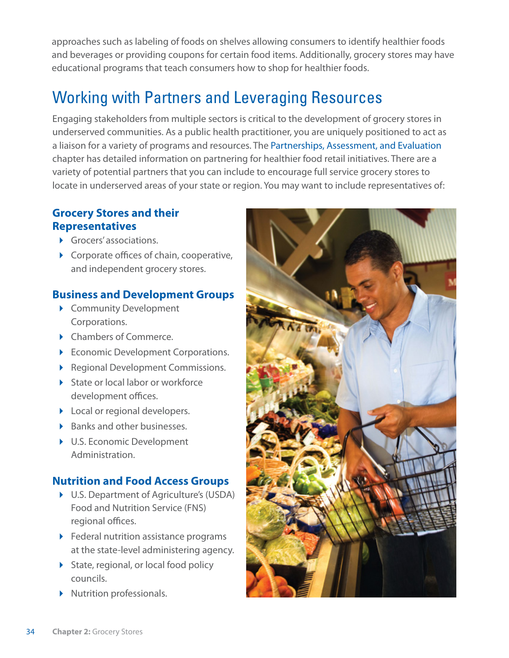approaches such as labeling of foods on shelves allowing consumers to identify healthier foods and beverages or providing coupons for certain food items. Additionally, grocery stores may have educational programs that teach consumers how to shop for healthier foods.

# Working with Partners and Leveraging Resources

Engaging stakeholders from multiple sectors is critical to the development of grocery stores in underserved communities. As a public health practitioner, you are uniquely positioned to act as a liaison for a variety of programs and resources. The Partnerships, Assessment, and Evaluation chapter has detailed information on partnering for healthier food retail initiatives. There are a variety of potential partners that you can include to encourage full service grocery stores to locate in underserved areas of your state or region. You may want to include representatives of:

### **Grocery Stores and their Representatives**

- **Grocers' associations.**
- Corporate offices of chain, cooperative, and independent grocery stores.

### **Business and Development Groups**

- ▶ Community Development Corporations.
- ▶ Chambers of Commerce.
- Economic Development Corporations.
- Regional Development Commissions.
- State or local labor or workforce development offices.
- **Local or regional developers.**
- ▶ Banks and other businesses.
- ▶ U.S. Economic Development Administration.

### **Nutrition and Food Access Groups**

- ▶ U.S. Department of Agriculture's (USDA) Food and Nutrition Service (FNS) regional offices.
- ▶ Federal nutrition assistance programs at the state-level administering agency.
- State, regional, or local food policy councils.
- Nutrition professionals.

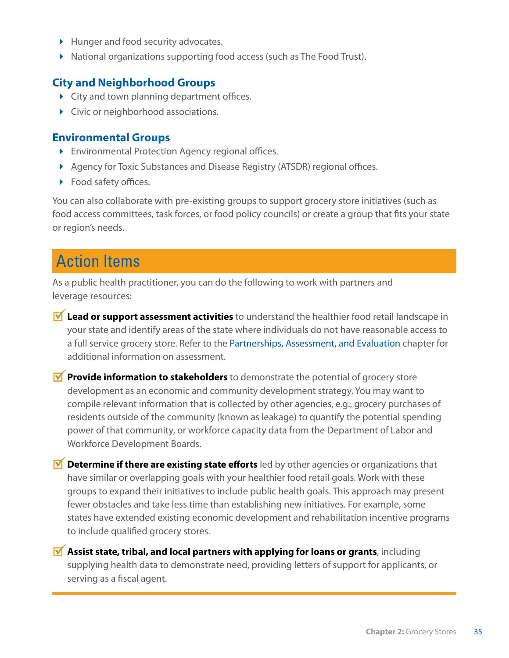- Hunger and food security advocates.
- ▶ National organizations supporting food access (such as The Food Trust).

#### **City and Neighborhood Groups**

- City and town planning department offices.
- ▶ Civic or neighborhood associations.

#### **Environmental Groups**

- Environmental Protection Agency regional offices.
- ▶ Agency for Toxic Substances and Disease Registry (ATSDR) regional offices.
- ▶ Food safety offices.

You can also collaborate with pre-existing groups to support grocery store initiatives (such as food access committees, task forces, or food policy councils) or create a group that fits your state or region's needs.

## Action Items

As a public health practitioner, you can do the following to work with partners and leverage resources:

- **M** Lead or support assessment activities to understand the healthier food retail landscape in your state and identify areas of the state where individuals do not have reasonable access to a full service grocery store. Refer to the Partnerships, Assessment, and Evaluation chapter for additional information on assessment.
- **Provide information to stakeholders** to demonstrate the potential of grocery store development as an economic and community development strategy. You may want to compile relevant information that is collected by other agencies, e.g., grocery purchases of residents outside of the community (known as leakage) to quantify the potential spending power of that community, or workforce capacity data from the Department of Labor and Workforce Development Boards.
- **M** Determine if there are existing state efforts led by other agencies or organizations that have similar or overlapping goals with your healthier food retail goals. Work with these groups to expand their initiatives to include public health goals. This approach may present fewer obstacles and take less time than establishing new initiatives. For example, some states have extended existing economic development and rehabilitation incentive programs to include qualified grocery stores.

**M** Assist state, tribal, and local partners with applying for loans or grants, including supplying health data to demonstrate need, providing letters of support for applicants, or serving as a fiscal agent.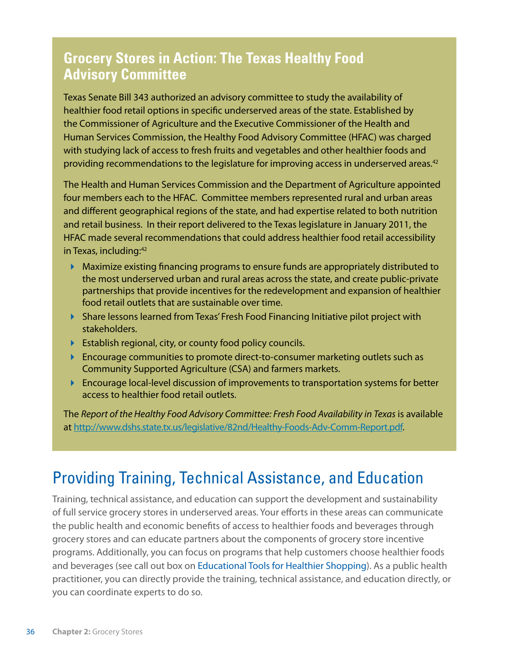### **Grocery Stores in Action: The Texas Healthy Food Advisory Committee**

Texas Senate Bill 343 authorized an advisory committee to study the availability of healthier food retail options in specific underserved areas of the state. Established by the Commissioner of Agriculture and the Executive Commissioner of the Health and Human Services Commission, the Healthy Food Advisory Committee (HFAC) was charged with studying lack of access to fresh fruits and vegetables and other healthier foods and providing recommendations to the legislature for improving access in underserved areas.<sup>42</sup>

The Health and Human Services Commission and the Department of Agriculture appointed four members each to the HFAC. Committee members represented rural and urban areas and different geographical regions of the state, and had expertise related to both nutrition and retail business. In their report delivered to the Texas legislature in January 2011, the HFAC made several recommendations that could address healthier food retail accessibility in Texas, including:<sup>42</sup>

- Maximize existing financing programs to ensure funds are appropriately distributed to the most underserved urban and rural areas across the state, and create public-private partnerships that provide incentives for the redevelopment and expansion of healthier food retail outlets that are sustainable over time.
- Share lessons learned from Texas' Fresh Food Financing Initiative pilot project with stakeholders.
- Establish regional, city, or county food policy councils.
- **Encourage communities to promote direct-to-consumer marketing outlets such as** Community Supported Agriculture (CSA) and farmers markets.
- **Encourage local-level discussion of improvements to transportation systems for better** access to healthier food retail outlets.

The *Report of the Healthy Food Advisory Committee: Fresh Food Availability in Texas* is available at <http://www.dshs.state.tx.us/legislative/82nd/Healthy-Foods-Adv-Comm-Report.pdf>.

## Providing Training, Technical Assistance, and Education

Training, technical assistance, and education can support the development and sustainability of full service grocery stores in underserved areas. Your efforts in these areas can communicate the public health and economic benefits of access to healthier foods and beverages through grocery stores and can educate partners about the components of grocery store incentive programs. Additionally, you can focus on programs that help customers choose healthier foods and beverages (see call out box on Educational Tools for Healthier Shopping). As a public health practitioner, you can directly provide the training, technical assistance, and education directly, or you can coordinate experts to do so.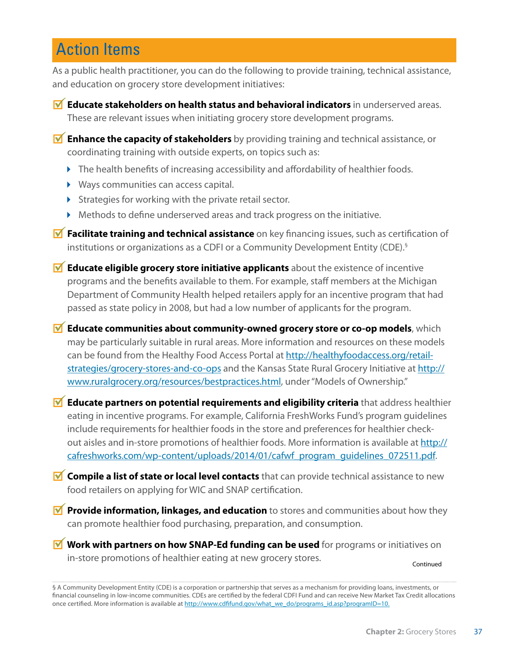## Action Items

As a public health practitioner, you can do the following to provide training, technical assistance, and education on grocery store development initiatives:

**M** Educate stakeholders on health status and behavioral indicators in underserved areas. These are relevant issues when initiating grocery store development programs.

**M** Enhance the capacity of stakeholders by providing training and technical assistance, or coordinating training with outside experts, on topics such as:

- $\blacktriangleright$  The health benefits of increasing accessibility and affordability of healthier foods.
- Ways communities can access capital.
- $\triangleright$  Strategies for working with the private retail sector.
- Methods to define underserved areas and track progress on the initiative.
- **M** Facilitate training and technical assistance on key financing issues, such as certification of institutions or organizations as a CDFI or a Community Development Entity (CDE).§
- **M** Educate eligible grocery store initiative applicants about the existence of incentive programs and the benefits available to them. For example, staff members at the Michigan Department of Community Health helped retailers apply for an incentive program that had passed as state policy in 2008, but had a low number of applicants for the program.
- **M** Educate communities about community-owned grocery store or co-op models, which may be particularly suitable in rural areas. More information and resources on these models can be found from the Healthy Food Access Portal at [http://healthyfoodaccess.org/retail](http://healthyfoodaccess.org/retail-strategies/grocery)[strategies/grocery-](http://healthyfoodaccess.org/retail-strategies/grocery)stores-and-co-ops and the Kansas State Rural Grocery Initiative at [http://](http://www.ruralgrocery.org/resources/bestpractices.html) [www.ruralgrocery.org/resources/bestpractices.html](http://www.ruralgrocery.org/resources/bestpractices.html), under "Models of Ownership."
- **M** Educate partners on potential requirements and eligibility criteria that address healthier eating in incentive programs. For example, California FreshWorks Fund's program guidelines include requirements for healthier foods in the store and preferences for healthier checkout aisles and in-store promotions of healthier foods. More information is available at [http://](http://cafreshworks.com/wp-content/uploads/2014/01/cafwf_program_guidelines_072511.pdf) [cafreshworks.com/wp-content/uploads/2014/01/cafwf\\_program\\_guidelines\\_072511.pdf.](http://cafreshworks.com/wp-content/uploads/2014/01/cafwf_program_guidelines_072511.pdf)
- **M** Compile a list of state or local level contacts that can provide technical assistance to new food retailers on applying for WIC and SNAP certification.
- **Provide information, linkages, and education** to stores and communities about how they can promote healthier food purchasing, preparation, and consumption.

**M** Work with partners on how SNAP-Ed funding can be used for programs or initiatives on in-store promotions of healthier eating at new grocery stores.

Continued

<sup>§</sup> A Community Development Entity (CDE) is a corporation or partnership that serves as a mechanism for providing loans, investments, or financial counseling in low-income communities. CDEs are certified by the federal CDFI Fund and can receive New Market Tax Credit allocations once certified. More information is available at [http://www.cdfifund.gov/what\\_we\\_do/programs\\_id.asp?programID=10.](http://www.cdfifund.gov/what_we_do/programs_id.asp?programID=10.)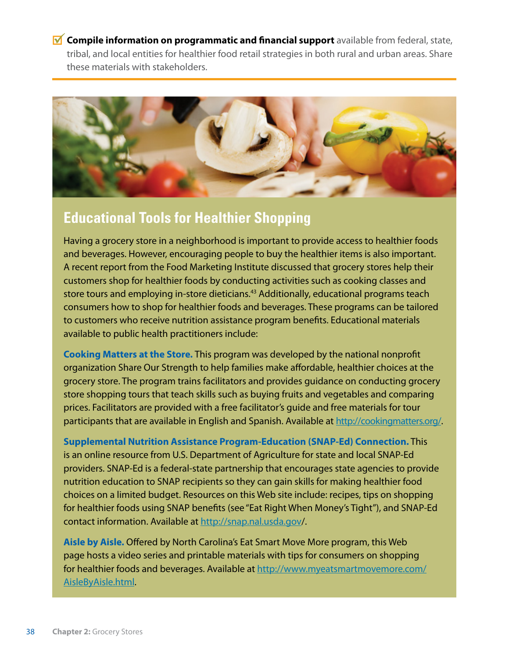*M* Compile information on programmatic and financial support available from federal, state, tribal, and local entities for healthier food retail strategies in both rural and urban areas. Share these materials with stakeholders.



### **Educational Tools for Healthier Shopping**

Having a grocery store in a neighborhood is important to provide access to healthier foods and beverages. However, encouraging people to buy the healthier items is also important. A recent report from the Food Marketing Institute discussed that grocery stores help their customers shop for healthier foods by conducting activities such as cooking classes and store tours and employing in-store dieticians.<sup>43</sup> Additionally, educational programs teach consumers how to shop for healthier foods and beverages. These programs can be tailored to customers who receive nutrition assistance program benefits. Educational materials available to public health practitioners include:

**Cooking Matters at the Store.** This program was developed by the national nonprofit organization Share Our Strength to help families make affordable, healthier choices at the grocery store. The program trains facilitators and provides guidance on conducting grocery store shopping tours that teach skills such as buying fruits and vegetables and comparing prices. Facilitators are provided with a free facilitator's guide and free materials for tour participants that are available in English and Spanish. Available at [http://cookingmatters.org/](http://cookingmatters.org).

**Supplemental Nutrition Assistance Program-Education (SNAP-Ed) Connection.** This is an online resource from U.S. Department of Agriculture for state and local SNAP-Ed providers. SNAP-Ed is a federal-state partnership that encourages state agencies to provide nutrition education to SNAP recipients so they can gain skills for making healthier food choices on a limited budget. Resources on this Web site include: recipes, tips on shopping for healthier foods using SNAP benefits (see "Eat Right When Money's Tight"), and SNAP-Ed contact information. Available at [http://snap.nal.usda.gov/](http://snap.nal.usda.gov).

**Aisle by Aisle.** Offered by North Carolina's Eat Smart Move More program, this Web page hosts a video series and printable materials with tips for consumers on shopping for healthier foods and beverages. Available at [http://www.myeatsmartmovemore.com/](http://www.myeatsmartmovemore.com/AisleByAisle.html) [AisleByAisle.html.](http://www.myeatsmartmovemore.com/AisleByAisle.html)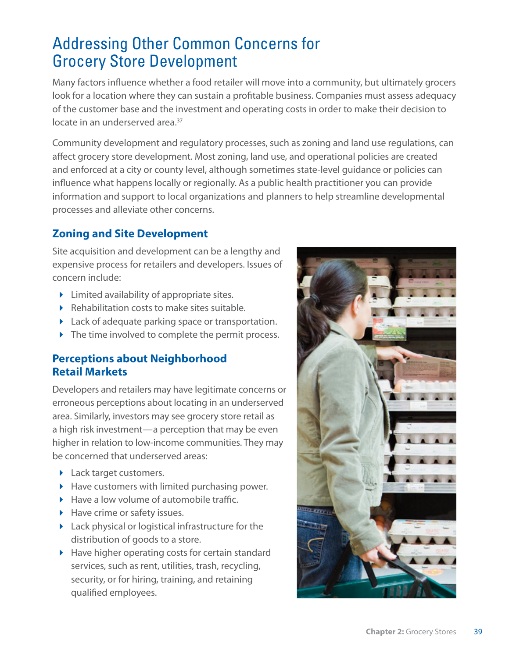## Addressing Other Common Concerns for Grocery Store Development

Many factors influence whether a food retailer will move into a community, but ultimately grocers look for a location where they can sustain a profitable business. Companies must assess adequacy of the customer base and the investment and operating costs in order to make their decision to locate in an underserved area.<sup>37</sup>

Community development and regulatory processes, such as zoning and land use regulations, can affect grocery store development. Most zoning, land use, and operational policies are created and enforced at a city or county level, although sometimes state-level guidance or policies can influence what happens locally or regionally. As a public health practitioner you can provide information and support to local organizations and planners to help streamline developmental processes and alleviate other concerns.

### **Zoning and Site Development**

Site acquisition and development can be a lengthy and expensive process for retailers and developers. Issues of concern include:

- $\blacktriangleright$  Limited availability of appropriate sites.
- Rehabilitation costs to make sites suitable.
- Lack of adequate parking space or transportation.
- The time involved to complete the permit process.

### **Perceptions about Neighborhood Retail Markets**

Developers and retailers may have legitimate concerns or erroneous perceptions about locating in an underserved area. Similarly, investors may see grocery store retail as a high risk investment—a perception that may be even higher in relation to low-income communities. They may be concerned that underserved areas:

- **Lack target customers.**
- $\blacktriangleright$  Have customers with limited purchasing power.
- $\blacktriangleright$  Have a low volume of automobile traffic.
- $\blacktriangleright$  Have crime or safety issues.
- Lack physical or logistical infrastructure for the distribution of goods to a store.
- $\blacktriangleright$  Have higher operating costs for certain standard services, such as rent, utilities, trash, recycling, security, or for hiring, training, and retaining qualified employees.

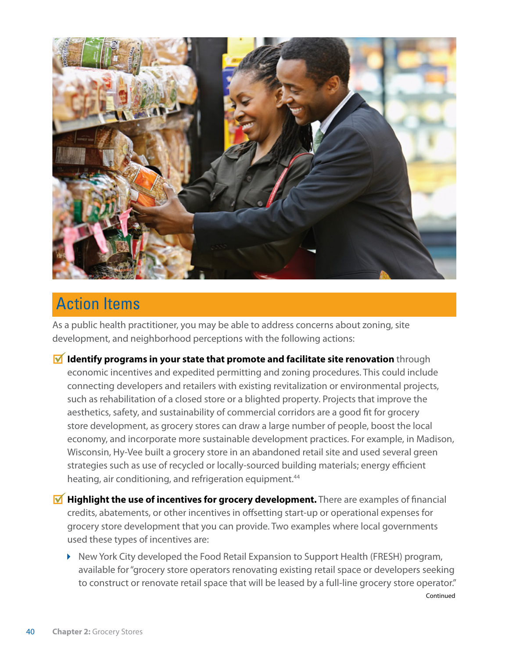

## Action Items

As a public health practitioner, you may be able to address concerns about zoning, site development, and neighborhood perceptions with the following actions:

- **Identify programs in your state that promote and facilitate site renovation** through economic incentives and expedited permitting and zoning procedures. This could include connecting developers and retailers with existing revitalization or environmental projects, such as rehabilitation of a closed store or a blighted property. Projects that improve the aesthetics, safety, and sustainability of commercial corridors are a good fit for grocery store development, as grocery stores can draw a large number of people, boost the local economy, and incorporate more sustainable development practices. For example, in Madison, Wisconsin, Hy-Vee built a grocery store in an abandoned retail site and used several green strategies such as use of recycled or locally-sourced building materials; energy efficient heating, air conditioning, and refrigeration equipment.<sup>44</sup>
- **M** Highlight the use of incentives for grocery development. There are examples of financial credits, abatements, or other incentives in offsetting start-up or operational expenses for grocery store development that you can provide. Two examples where local governments used these types of incentives are:
	- ▶ New York City developed the Food Retail Expansion to Support Health (FRESH) program, available for "grocery store operators renovating existing retail space or developers seeking to construct or renovate retail space that will be leased by a full-line grocery store operator."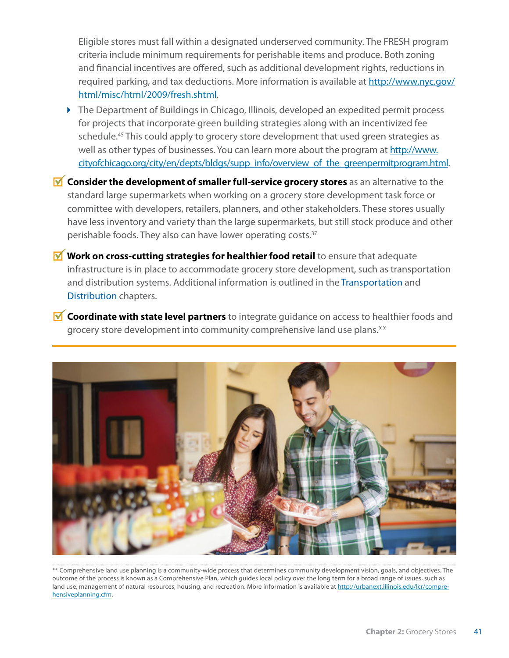Eligible stores must fall within a designated underserved community. The FRESH program criteria include minimum requirements for perishable items and produce. Both zoning and financial incentives are offered, such as additional development rights, reductions in required parking, and tax deductions. More information is available at [http://www.nyc.gov/](http://www.nyc.gov/html/misc/html/2009/fresh.shtml) [html/misc/html/2009/fresh.shtml.](http://www.nyc.gov/html/misc/html/2009/fresh.shtml)

- ▶ The Department of Buildings in Chicago, Illinois, developed an expedited permit process for projects that incorporate green building strategies along with an incentivized fee schedule.<sup>45</sup> This could apply to grocery store development that used green strategies as well as other types of businesses. You can learn more about the program at [http://www.](http://www.cityofchicago.org/city/en/depts/bldgs/supp_info/overview_of_the_greenpermitprogram.html) [cityofchicago.org/city/en/depts/bldgs/supp\\_info/overview\\_of\\_the\\_greenpermitprogram.html](http://www.cityofchicago.org/city/en/depts/bldgs/supp_info/overview_of_the_greenpermitprogram.html).
- **M** Consider the development of smaller full-service grocery stores as an alternative to the standard large supermarkets when working on a grocery store development task force or committee with developers, retailers, planners, and other stakeholders. These stores usually have less inventory and variety than the large supermarkets, but still stock produce and other perishable foods. They also can have lower operating costs.<sup>37</sup>
- **M** Work on cross-cutting strategies for healthier food retail to ensure that adequate infrastructure is in place to accommodate grocery store development, such as transportation and distribution systems. Additional information is outlined in the Transportation and Distribution chapters.
- *M* Coordinate with state level partners to integrate guidance on access to healthier foods and grocery store development into community comprehensive land use plans.\*\*



\*\* Comprehensive land use planning is a community-wide process that determines community development vision, goals, and objectives. The outcome of the process is known as a Comprehensive Plan, which guides local policy over the long term for a broad range of issues, such as land use, management of natural resources, housing, and recreation. More information is available at [http://urbanext.illinois.edu/lcr/compre](http://urbanext.illinois.edu/lcr/comprehensiveplanning.cfm)[hensiveplanning.cfm](http://urbanext.illinois.edu/lcr/comprehensiveplanning.cfm).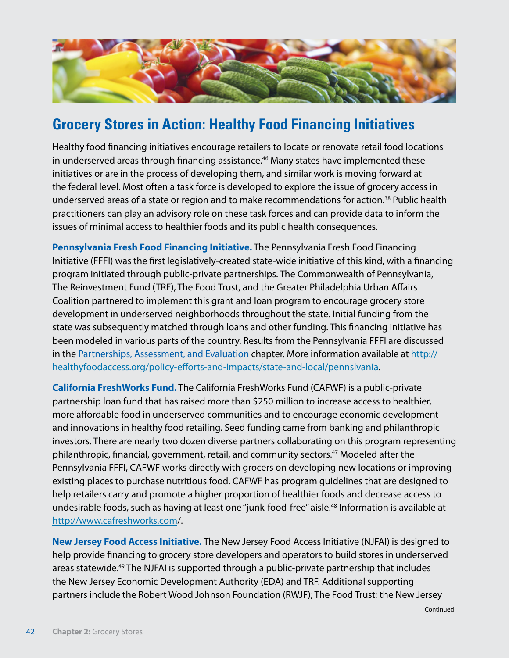

### **Grocery Stores in Action: Healthy Food Financing Initiatives**

Healthy food financing initiatives encourage retailers to locate or renovate retail food locations in underserved areas through financing assistance.<sup>46</sup> Many states have implemented these initiatives or are in the process of developing them, and similar work is moving forward at the federal level. Most often a task force is developed to explore the issue of grocery access in underserved areas of a state or region and to make recommendations for action.<sup>38</sup> Public health practitioners can play an advisory role on these task forces and can provide data to inform the issues of minimal access to healthier foods and its public health consequences.

**Pennsylvania Fresh Food Financing Initiative.** The Pennsylvania Fresh Food Financing Initiative (FFFI) was the first legislatively-created state-wide initiative of this kind, with a financing program initiated through public-private partnerships. The Commonwealth of Pennsylvania, The Reinvestment Fund (TRF), The Food Trust, and the Greater Philadelphia Urban Affairs Coalition partnered to implement this grant and loan program to encourage grocery store development in underserved neighborhoods throughout the state. Initial funding from the state was subsequently matched through loans and other funding. This financing initiative has been modeled in various parts of the country. Results from the Pennsylvania FFFI are discussed in the Partnerships, Assessment, and Evaluation chapter. More information available at [http://](http://healthyfoodaccess.org/policy-efforts-and-impacts/state-and-local/pennslvania) [healthyfoodaccess.org/policy-efforts-and-impacts/state-and-local/pennslvania](http://healthyfoodaccess.org/policy-efforts-and-impacts/state-and-local/pennslvania).

**California FreshWorks Fund.** The California FreshWorks Fund (CAFWF) is a public-private partnership loan fund that has raised more than \$250 million to increase access to healthier, more affordable food in underserved communities and to encourage economic development and innovations in healthy food retailing. Seed funding came from banking and philanthropic investors. There are nearly two dozen diverse partners collaborating on this program representing philanthropic, financial, government, retail, and community sectors.<sup>47</sup> Modeled after the Pennsylvania FFFI, CAFWF works directly with grocers on developing new locations or improving existing places to purchase nutritious food. CAFWF has program guidelines that are designed to help retailers carry and promote a higher proportion of healthier foods and decrease access to undesirable foods, such as having at least one "junk-food-free" aisle.<sup>48</sup> Information is available at [http://www.cafreshworks.com/](http://www.cafreshworks.com).

**New Jersey Food Access Initiative.** The New Jersey Food Access Initiative (NJFAI) is designed to help provide financing to grocery store developers and operators to build stores in underserved areas statewide.<sup>49</sup> The NJFAI is supported through a public-private partnership that includes the New Jersey Economic Development Authority (EDA) and TRF. Additional supporting partners include the Robert Wood Johnson Foundation (RWJF); The Food Trust; the New Jersey

Continued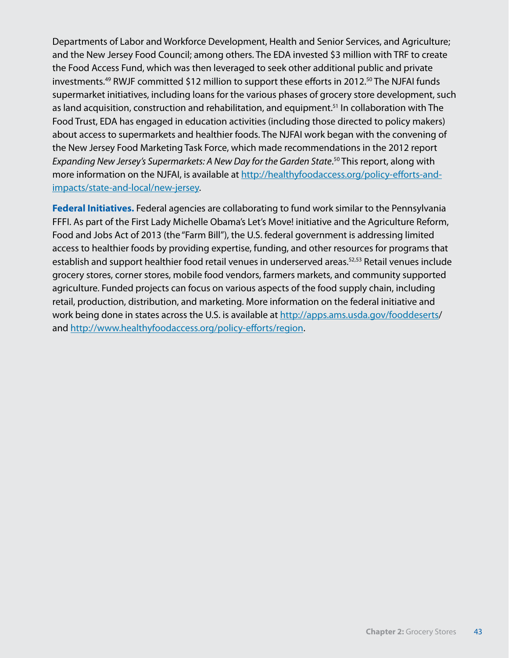Departments of Labor and Workforce Development, Health and Senior Services, and Agriculture; and the New Jersey Food Council; among others. The EDA invested \$3 million with TRF to create the Food Access Fund, which was then leveraged to seek other additional public and private investments.<sup>49</sup> RWJF committed \$12 million to support these efforts in 2012.<sup>50</sup> The NJFAI funds supermarket initiatives, including loans for the various phases of grocery store development, such as land acquisition, construction and rehabilitation, and equipment.<sup>51</sup> In collaboration with The Food Trust, EDA has engaged in education activities (including those directed to policy makers) about access to supermarkets and healthier foods. The NJFAI work began with the convening of the New Jersey Food Marketing Task Force, which made recommendations in the 2012 report *Expanding New Jersey's Supermarkets: A New Day for the Garden State*. 50 This report, along with more information on the NJFAI, is available at [http://healthyfoodaccess.org/policy-efforts-and](http://healthyfoodaccess.org/policy-efforts-and-impacts/state-and-local/new)[impacts/state-and-local/new](http://healthyfoodaccess.org/policy-efforts-and-impacts/state-and-local/new)-jersey.

**Federal Initiatives.** Federal agencies are collaborating to fund work similar to the Pennsylvania FFFI. As part of the First Lady Michelle Obama's Let's Move! initiative and the Agriculture Reform, Food and Jobs Act of 2013 (the "Farm Bill"), the U.S. federal government is addressing limited access to healthier foods by providing expertise, funding, and other resources for programs that establish and support healthier food retail venues in underserved areas.<sup>52,53</sup> Retail venues include grocery stores, corner stores, mobile food vendors, farmers markets, and community supported agriculture. Funded projects can focus on various aspects of the food supply chain, including retail, production, distribution, and marketing. More information on the federal initiative and work being done in states across the U.S. is available at [http://apps.ams.usda.gov/fooddeserts/](http://apps.ams.usda.gov/fooddeserts) and <http://www.healthyfoodaccess.org/policy-efforts/region>.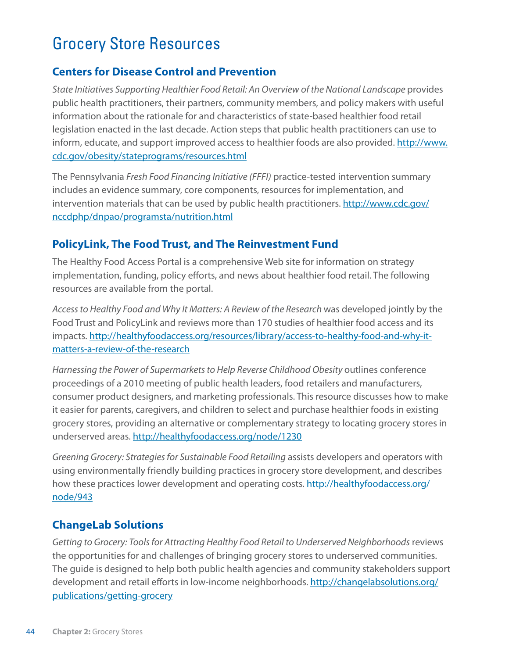# Grocery Store Resources

### **Centers for Disease Control and Prevention**

*State Initiatives Supporting Healthier Food Retail: An Overview of the National Landscape* provides public health practitioners, their partners, community members, and policy makers with useful information about the rationale for and characteristics of state-based healthier food retail legislation enacted in the last decade. Action steps that public health practitioners can use to inform, educate, and support improved access to healthier foods are also provided. [http://www.](http://www.cdc.gov/obesity/stateprograms/resources.html) [cdc.gov/obesity/stateprograms/resources.html](http://www.cdc.gov/obesity/stateprograms/resources.html)

The Pennsylvania *Fresh Food Financing Initiative (FFFI)* practice-tested intervention summary includes an evidence summary, core components, resources for implementation, and intervention materials that can be used by public health practitioners. [http://www.cdc.gov/](http://www.cdc.gov/nccdphp/dnpao/programsta/nutrition.html) [nccdphp/dnpao/programsta/nutrition.html](http://www.cdc.gov/nccdphp/dnpao/programsta/nutrition.html)

#### **PolicyLink, The Food Trust, and The Reinvestment Fund**

The Healthy Food Access Portal is a comprehensive Web site for information on strategy implementation, funding, policy efforts, and news about healthier food retail. The following resources are available from the portal.

*Access to Healthy Food and Why It Matters: A Review of the Research* was developed jointly by the Food Trust and PolicyLink and reviews more than 170 studies of healthier food access and its impacts. [http://healthyfoodaccess.org/resources/library/access-](http://healthyfoodaccess.org/resources/library/access)to-healthy-food-and-why-itmatters-a-review-of-the-research

Harnessing the Power of Supermarkets to Help Reverse Childhood Obesity outlines conference proceedings of a 2010 meeting of public health leaders, food retailers and manufacturers, consumer product designers, and marketing professionals. This resource discusses how to make it easier for parents, caregivers, and children to select and purchase healthier foods in existing grocery stores, providing an alternative or complementary strategy to locating grocery stores in underserved areas. <http://healthyfoodaccess.org/node/1230>

*Greening Grocery: Strategies for Sustainable Food Retailing* assists developers and operators with using environmentally friendly building practices in grocery store development, and describes how these practices lower development and operating costs. [http://healthyfoodaccess.org/](http://healthyfoodaccess.org/node/943) [node/943](http://healthyfoodaccess.org/node/943)

### **ChangeLab Solutions**

*Getting to Grocery: Tools for Attracting Healthy Food Retail to Underserved Neighborhoods* reviews the opportunities for and challenges of bringing grocery stores to underserved communities. The guide is designed to help both public health agencies and community stakeholders support development and retail efforts in low-income neighborhoods. [http://changelabsolutions.org/](http://changelabsolutions.org/publications/getting) [publications/getting-](http://changelabsolutions.org/publications/getting)grocery